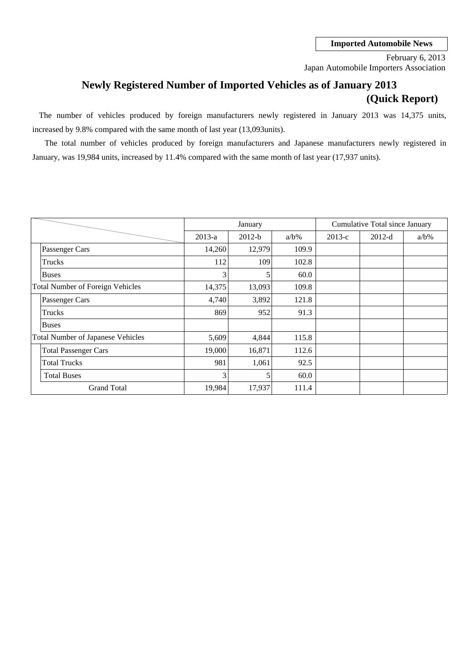### **Imported Automobile News**

Japan Automobile Importers Association February 6, 2013

# **Newly Registered Number of Imported Vehicles as of January 2013 (Quick Report)**

The number of vehicles produced by foreign manufacturers newly registered in January 2013 was 14,375 units, increased by 9.8% compared with the same month of last year (13,093units).

January, was 19,984 units, increased by 11.4% compared with the same month of last year (17,937 units). The total number of vehicles produced by foreign manufacturers and Japanese manufacturers newly registered in

|                                         |                                          |          | January  |         |          | Cumulative Total since January |         |
|-----------------------------------------|------------------------------------------|----------|----------|---------|----------|--------------------------------|---------|
|                                         |                                          | $2013-a$ | $2012-b$ | $a/b\%$ | $2013-c$ | $2012-d$                       | $a/b\%$ |
|                                         | Passenger Cars                           | 14,260   | 12,979   | 109.9   |          |                                |         |
|                                         | Trucks                                   | 112      | 109      | 102.8   |          |                                |         |
|                                         | <b>Buses</b>                             | 3        | 5        | 60.0    |          |                                |         |
| <b>Total Number of Foreign Vehicles</b> |                                          | 14,375   | 13,093   | 109.8   |          |                                |         |
|                                         | Passenger Cars                           | 4,740    | 3,892    | 121.8   |          |                                |         |
|                                         | Trucks                                   | 869      | 952      | 91.3    |          |                                |         |
|                                         | Buses                                    |          |          |         |          |                                |         |
|                                         | <b>Total Number of Japanese Vehicles</b> | 5,609    | 4,844    | 115.8   |          |                                |         |
|                                         | <b>Total Passenger Cars</b>              | 19,000   | 16,871   | 112.6   |          |                                |         |
|                                         | <b>Total Trucks</b>                      | 981      | 1,061    | 92.5    |          |                                |         |
|                                         | <b>Total Buses</b>                       | 3        | 5        | 60.0    |          |                                |         |
|                                         | <b>Grand Total</b>                       | 19,984   | 17,937   | 111.4   |          |                                |         |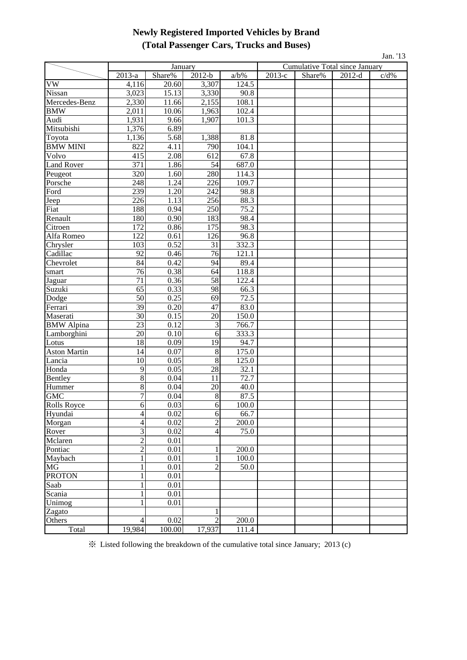# **Newly Registered Imported Vehicles by Brand (Total Passenger Cars, Trucks and Buses)**

| Jan. '13          |                         |         |                 |                   |          |        |                                       |      |  |  |
|-------------------|-------------------------|---------|-----------------|-------------------|----------|--------|---------------------------------------|------|--|--|
|                   |                         | January |                 |                   |          |        | <b>Cumulative Total since January</b> |      |  |  |
|                   | 2013-a                  | Share%  | $2012-b$        | $a/b\%$           | $2013-c$ | Share% | $2012-d$                              | c/d% |  |  |
| VW                | 4,116                   | 20.60   | 3,307           | 124.5             |          |        |                                       |      |  |  |
| Nissan            | 3,023                   | 15.13   | 3,330           | 90.8              |          |        |                                       |      |  |  |
| Mercedes-Benz     | 2,330                   | 11.66   | 2,155           | 108.1             |          |        |                                       |      |  |  |
| BMW               | 2,011                   | 10.06   | 1,963           | 102.4             |          |        |                                       |      |  |  |
| Audi              | 1,931                   | 9.66    | 1,907           | 101.3             |          |        |                                       |      |  |  |
| Mitsubishi        | 1,376                   | 6.89    |                 |                   |          |        |                                       |      |  |  |
| Toyota            | 1,136                   | 5.68    | 1,388           | 81.8              |          |        |                                       |      |  |  |
| <b>BMW MINI</b>   | 822                     | 4.11    | 790             | 104.1             |          |        |                                       |      |  |  |
| Volvo             | 415                     | 2.08    | 612             | 67.8              |          |        |                                       |      |  |  |
| Land Rover        | $\frac{371}{320}$       | 1.86    | $rac{54}{2}$    | 687.0             |          |        |                                       |      |  |  |
| Peugeot           |                         | 1.60    | 280             | 114.3             |          |        |                                       |      |  |  |
| Porsche           | 248                     | 1.24    | 226             | 109.7             |          |        |                                       |      |  |  |
| Ford              | 239                     | 1.20    | 242             | 98.8              |          |        |                                       |      |  |  |
| Jeep              | 226                     | 1.13    | 256             | 88.3              |          |        |                                       |      |  |  |
| Fiat              | 188                     | 0.94    | 250             | 75.2              |          |        |                                       |      |  |  |
| Renault           | 180                     | 0.90    | 183             | 98.4              |          |        |                                       |      |  |  |
| Citroen           | 172                     | 0.86    | 175             | 98.3              |          |        |                                       |      |  |  |
| Alfa Romeo        | 122                     | 0.61    | 126             | 96.8              |          |        |                                       |      |  |  |
| Chrysler          | 103                     | 0.52    | 31              | 332.3             |          |        |                                       |      |  |  |
| Cadillac          | $\overline{92}$         | 0.46    | 76              | 121.1             |          |        |                                       |      |  |  |
| Chevrolet         | 84                      | 0.42    | 94              | 89.4              |          |        |                                       |      |  |  |
| smart             | 76                      | 0.38    | 64              | 118.8             |          |        |                                       |      |  |  |
| Jaguar            | 71                      | 0.36    | 58              | 122.4             |          |        |                                       |      |  |  |
| Suzuki            | $\overline{65}$         | 0.33    | 98              | $\overline{66.3}$ |          |        |                                       |      |  |  |
| Dodge             | 50                      | 0.25    | 69              | 72.5              |          |        |                                       |      |  |  |
| Ferrari           | 39                      | 0.20    | 47              | 83.0              |          |        |                                       |      |  |  |
| Maserati          | 30                      | 0.15    | 20              | 150.0             |          |        |                                       |      |  |  |
| <b>BMW</b> Alpina | 23                      | 0.12    | 3               | 766.7             |          |        |                                       |      |  |  |
| Lamborghini       | 20                      | 0.10    | 6               | 333.3             |          |        |                                       |      |  |  |
| Lotus             | $\overline{18}$<br>անան | 0.09    | $\overline{19}$ | 94.7              |          |        |                                       |      |  |  |
| Aston Martin      | 14                      | 0.07    | 8               | 175.0             |          |        |                                       |      |  |  |
| Lancia            | 10                      | 0.05    | 8               | 125.0             |          |        |                                       |      |  |  |
| Honda             | 9                       | 0.05    | 28              | 32.1              |          |        |                                       |      |  |  |
| <b>Bentley</b>    | 8                       | 0.04    | 11              | 72.7              |          |        |                                       |      |  |  |
| Hummer            | 8                       | 0.04    | 20              | 40.0              |          |        |                                       |      |  |  |
| <b>GMC</b>        | $\overline{7}$          | 0.04    | 8               | 87.5              |          |        |                                       |      |  |  |
| Rolls Royce       | 6                       | 0.03    | 6               | 100.0             |          |        |                                       |      |  |  |
| Hyundai           | $\overline{4}$          | 0.02    | 6               | 66.7              |          |        |                                       |      |  |  |
| Morgan            | $\overline{4}$          | 0.02    | $\overline{c}$  | 200.0             |          |        |                                       |      |  |  |
| Rover             | $\frac{3}{2}$           | 0.02    | $\overline{4}$  | $\overline{75.0}$ |          |        |                                       |      |  |  |
| Mclaren           |                         | 0.01    |                 |                   |          |        |                                       |      |  |  |
| Pontiac           | $\overline{2}$          | 0.01    |                 | 200.0             |          |        |                                       |      |  |  |
| Maybach           | $\mathbf{1}$            | 0.01    | 1               | 100.0             |          |        |                                       |      |  |  |
| MG                |                         | 0.01    | $\mathfrak{D}$  | 50.0              |          |        |                                       |      |  |  |
| <b>PROTON</b>     |                         | 0.01    |                 |                   |          |        |                                       |      |  |  |
| Saab              |                         | 0.01    |                 |                   |          |        |                                       |      |  |  |
| Scania            |                         | 0.01    |                 |                   |          |        |                                       |      |  |  |
| Unimog            |                         | 0.01    |                 |                   |          |        |                                       |      |  |  |
| Zagato            |                         |         | 1               |                   |          |        |                                       |      |  |  |
| Others            | $\overline{4}$          | 0.02    | $\overline{2}$  | 200.0             |          |        |                                       |      |  |  |
| Total             | 19,984                  | 100.00  | 17,937          | 111.4             |          |        |                                       |      |  |  |

※ Listed following the breakdown of the cumulative total since January; 2013 (c)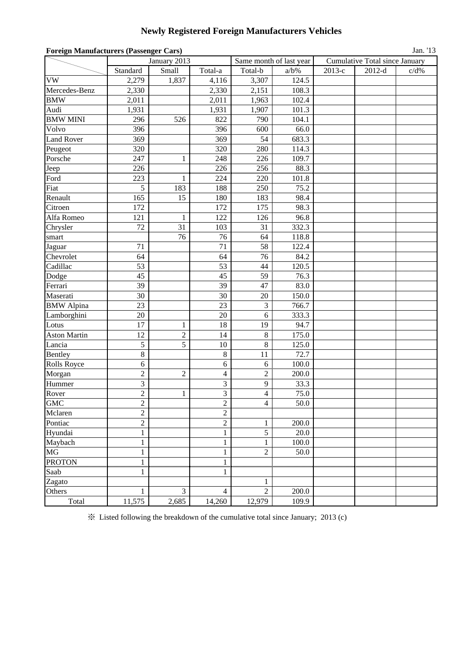# **Newly Registered Foreign Manufacturers Vehicles**

| <b>Foreign Manufacturers (Passenger Cars)</b> |                |                |                          |                          |                         |        |                                | Jan. '13 |
|-----------------------------------------------|----------------|----------------|--------------------------|--------------------------|-------------------------|--------|--------------------------------|----------|
|                                               | January 2013   |                |                          |                          | Same month of last year |        | Cumulative Total since January |          |
|                                               | Standard       | Small          | Total-a                  | Total-b                  | $a/b\%$                 | 2013-е | $2012-d$                       | $c/d\%$  |
| <b>VW</b>                                     | 2,279          | 1,837          | 4,116                    | 3,307                    | 124.5                   |        |                                |          |
| Mercedes-Benz                                 | 2,330          |                | 2,330                    | 2,151                    | 108.3                   |        |                                |          |
| <b>BMW</b>                                    | 2,011          |                | 2,011                    | 1,963                    | 102.4                   |        |                                |          |
| Audi                                          | 1,931          |                | 1,931                    | 1,907                    | 101.3                   |        |                                |          |
| <b>BMW MINI</b>                               | 296            | 526            | 822                      | 790                      | 104.1                   |        |                                |          |
| Volvo                                         | 396            |                | 396                      | 600                      | 66.0                    |        |                                |          |
| <b>Land Rover</b>                             | 369            |                | 369                      | 54                       | 683.3                   |        |                                |          |
| Peugeot                                       | 320            |                | 320                      | 280                      | 114.3                   |        |                                |          |
| Porsche                                       | 247            | $\mathbf{1}$   | 248                      | 226                      | 109.7                   |        |                                |          |
| Jeep                                          | 226            |                | 226                      | 256                      | 88.3                    |        |                                |          |
| Ford                                          | 223            | 1              | 224                      | 220                      | 101.8                   |        |                                |          |
| Fiat                                          | 5              | 183            | 188                      | 250                      | 75.2                    |        |                                |          |
| Renault                                       | 165            | 15             | 180                      | 183                      | 98.4                    |        |                                |          |
| Citroen                                       | 172            |                | 172                      | 175                      | 98.3                    |        |                                |          |
| Alfa Romeo                                    | 121            | $\mathbf{1}$   | 122                      | 126                      | 96.8                    |        |                                |          |
| Chrysler                                      | 72             | 31             | 103                      | 31                       | 332.3                   |        |                                |          |
| smart                                         |                | 76             | 76                       | 64                       | 118.8                   |        |                                |          |
| Jaguar                                        | 71             |                | 71                       | 58                       | 122.4                   |        |                                |          |
| Chevrolet                                     | 64             |                | 64                       | 76                       | 84.2                    |        |                                |          |
| Cadillac                                      | 53             |                | 53                       | 44                       | 120.5                   |        |                                |          |
| Dodge                                         | 45             |                | 45                       | 59                       | 76.3                    |        |                                |          |
| Ferrari                                       | 39             |                | 39                       | 47                       | 83.0                    |        |                                |          |
| Maserati                                      | 30             |                | 30                       | $20\,$                   | 150.0                   |        |                                |          |
| <b>BMW</b> Alpina                             | 23             |                | 23                       | 3                        | 766.7                   |        |                                |          |
| Lamborghini                                   | 20             |                | 20                       | 6                        | 333.3                   |        |                                |          |
| Lotus                                         | 17             | $\mathbf 1$    | 18                       | 19                       | 94.7                    |        |                                |          |
| <b>Aston Martin</b>                           | 12             | $\overline{c}$ | 14                       | $\,8\,$                  | 175.0                   |        |                                |          |
| Lancia                                        | $\sqrt{5}$     | $\overline{5}$ | 10                       | $8\,$                    | 125.0                   |        |                                |          |
| Bentley                                       | $\,8\,$        |                | $\,8\,$                  | 11                       | 72.7                    |        |                                |          |
| <b>Rolls Royce</b>                            | $\sqrt{6}$     |                | 6                        | $6\,$                    | 100.0                   |        |                                |          |
| Morgan                                        | $\overline{c}$ | $\mathfrak{2}$ | $\overline{\mathcal{A}}$ | 2                        | 200.0                   |        |                                |          |
| Hummer                                        | 3              |                | $\mathfrak{Z}$           | $\boldsymbol{9}$         | 33.3                    |        |                                |          |
| Rover                                         | $\overline{c}$ | $\,1$          | $\overline{\mathbf{3}}$  | $\overline{\mathcal{L}}$ | 75.0                    |        |                                |          |
| <b>GMC</b>                                    | $\overline{c}$ |                | $\sqrt{2}$               | $\overline{4}$           | 50.0                    |        |                                |          |
| Mclaren                                       | $\overline{c}$ |                | $\overline{2}$           |                          |                         |        |                                |          |
| Pontiac                                       | $\overline{c}$ |                | $\overline{c}$           | $\mathbf{1}$             | 200.0                   |        |                                |          |
| Hyundai                                       | $\mathbf{1}$   |                | $\mathbf{1}$             | $\overline{5}$           | 20.0                    |        |                                |          |
| Maybach                                       | 1              |                | $\mathbf{1}$             | $\mathbf{1}$             | 100.0                   |        |                                |          |
| MG                                            | $\mathbf{1}$   |                | $\,1$                    | $\overline{c}$           | 50.0                    |        |                                |          |
| <b>PROTON</b>                                 | $\mathbf{1}$   |                | $\mathbf{1}$             |                          |                         |        |                                |          |
| Saab                                          | 1              |                | 1                        |                          |                         |        |                                |          |
| Zagato                                        |                |                |                          | 1                        |                         |        |                                |          |
| Others                                        | 1              | 3              | $\overline{4}$           | $\overline{2}$           | 200.0                   |        |                                |          |
| Total                                         | 11,575         | 2,685          | 14,260                   | 12,979                   | 109.9                   |        |                                |          |

※ Listed following the breakdown of the cumulative total since January; 2013 (c)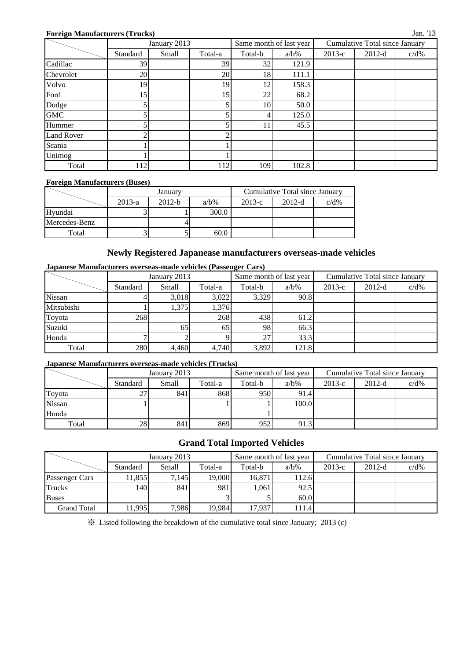## **Foreign Manufacturers (Trucks)**

|                   | January 2013 |       |         |         | Same month of last year | <b>Cumulative Total since January</b> |          |         |  |
|-------------------|--------------|-------|---------|---------|-------------------------|---------------------------------------|----------|---------|--|
|                   | Standard     | Small | Total-a | Total-b | $a/b\%$                 | $2013-c$                              | $2012-d$ | $c/d\%$ |  |
| Cadillac          | 39           |       | 39      | 32      | 121.9                   |                                       |          |         |  |
| Chevrolet         | 20           |       | 20      | 18      | 111.1                   |                                       |          |         |  |
| Volvo             | 19           |       | 19      | 12      | 158.3                   |                                       |          |         |  |
| Ford              | 15           |       | 15      | 22      | 68.2                    |                                       |          |         |  |
| Dodge             |              |       |         | 10      | 50.0                    |                                       |          |         |  |
| <b>GMC</b>        |              |       |         |         | 125.0                   |                                       |          |         |  |
| Hummer            |              |       |         | 11      | 45.5                    |                                       |          |         |  |
| <b>Land Rover</b> |              |       | ◠       |         |                         |                                       |          |         |  |
| Scania            |              |       |         |         |                         |                                       |          |         |  |
| Unimog            |              |       |         |         |                         |                                       |          |         |  |
| Total             | 112          |       | 112     | 109     | 102.8                   |                                       |          |         |  |

### **Foreign Manufacturers (Buses)**

|               |          | January  |         | Cumulative Total since January |          |         |  |  |
|---------------|----------|----------|---------|--------------------------------|----------|---------|--|--|
|               | $2013-a$ | $2012-b$ | $a/b\%$ | $2013-c$                       | $2012-d$ | $c/d\%$ |  |  |
| Hyundai       |          |          | 300.0   |                                |          |         |  |  |
| Mercedes-Benz |          |          |         |                                |          |         |  |  |
| Total         |          |          | 60.0    |                                |          |         |  |  |

## **Newly Registered Japanease manufacturers overseas-made vehicles**

## **Japanese Manufacturers overseas-made vehicles (Passenger Cars)**

|            |          | January 2013 |         |                 | Same month of last year | <b>Cumulative Total since January</b> |          |         |  |
|------------|----------|--------------|---------|-----------------|-------------------------|---------------------------------------|----------|---------|--|
|            | Standard | Small        | Total-a | Total-b         | $a/b\%$                 | $2013-c$                              | $2012-d$ | $c/d\%$ |  |
| Nissan     |          | 3,018        | 3,022   | 3.329           | 90.8                    |                                       |          |         |  |
| Mitsubishi |          | 1,375        | 1,376   |                 |                         |                                       |          |         |  |
| Toyota     | 268      |              | 268     | 438             | 61.2                    |                                       |          |         |  |
| Suzuki     |          | 65           | 65      | 98              | 66.3                    |                                       |          |         |  |
| Honda      |          |              |         | 27 <sub>1</sub> | 33.3                    |                                       |          |         |  |
| Total      | 280      | 4,460        | 4,740   | 3,892           | 121.8                   |                                       |          |         |  |

## **Japanese Manufacturers overseas-made vehicles (Trucks)**

|               |          | January 2013 |         |         | Same month of last year | Cumulative Total since January |          |         |  |
|---------------|----------|--------------|---------|---------|-------------------------|--------------------------------|----------|---------|--|
|               | Standard | Small        | Total-a | Total-b | $a/b\%$                 | 2013-c                         | $2012-d$ | $c/d\%$ |  |
| Toyota        | . ت      | 841          | 868     | 950     | 91.4                    |                                |          |         |  |
| <b>Nissan</b> |          |              |         |         | 100.0                   |                                |          |         |  |
| Honda         |          |              |         |         |                         |                                |          |         |  |
| Total         | 28       | 841          | 869     | 952     | 91.3                    |                                |          |         |  |

## **Grand Total Imported Vehicles**

|                    |          | January 2013 |         |         | Same month of last year | Cumulative Total since January |          |         |  |
|--------------------|----------|--------------|---------|---------|-------------------------|--------------------------------|----------|---------|--|
|                    | Standard | Small        | Total-a | Total-b | $a/b\%$                 | $2013-c$                       | $2012-d$ | $c/d\%$ |  |
| Passenger Cars     | 11.855   | 7,145        | 19,000  | 16,871  | 112.6                   |                                |          |         |  |
| <b>Trucks</b>      | 1401     | 841          | 981     | .061    | 92.5                    |                                |          |         |  |
| <b>Buses</b>       |          |              |         |         | 60.0                    |                                |          |         |  |
| <b>Grand Total</b> | 11,995   | 7,986        | 19,984  | 17.937  | 111.4                   |                                |          |         |  |

※ Listed following the breakdown of the cumulative total since January; 2013 (c)